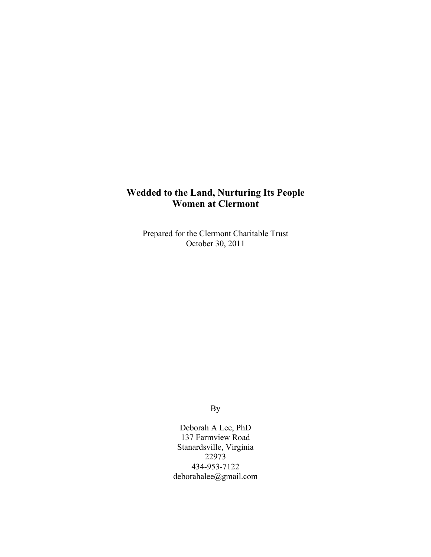# **Wedded to the Land, Nurturing Its People Women at Clermont**

Prepared for the Clermont Charitable Trust October 30, 2011

By

Deborah A Lee, PhD 137 Farmview Road Stanardsville, Virginia 22973 434-953-7122 deborahalee@gmail.com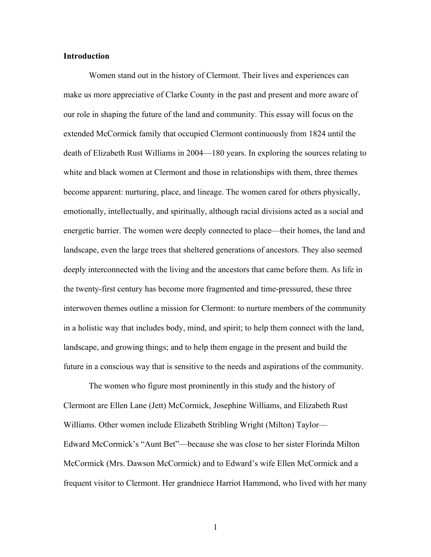## **Introduction**

Women stand out in the history of Clermont. Their lives and experiences can make us more appreciative of Clarke County in the past and present and more aware of our role in shaping the future of the land and community. This essay will focus on the extended McCormick family that occupied Clermont continuously from 1824 until the death of Elizabeth Rust Williams in 2004—180 years. In exploring the sources relating to white and black women at Clermont and those in relationships with them, three themes become apparent: nurturing, place, and lineage. The women cared for others physically, emotionally, intellectually, and spiritually, although racial divisions acted as a social and energetic barrier. The women were deeply connected to place—their homes, the land and landscape, even the large trees that sheltered generations of ancestors. They also seemed deeply interconnected with the living and the ancestors that came before them. As life in the twenty-first century has become more fragmented and time-pressured, these three interwoven themes outline a mission for Clermont: to nurture members of the community in a holistic way that includes body, mind, and spirit; to help them connect with the land, landscape, and growing things; and to help them engage in the present and build the future in a conscious way that is sensitive to the needs and aspirations of the community.

The women who figure most prominently in this study and the history of Clermont are Ellen Lane (Jett) McCormick, Josephine Williams, and Elizabeth Rust Williams. Other women include Elizabeth Stribling Wright (Milton) Taylor— Edward McCormick's "Aunt Bet"—because she was close to her sister Florinda Milton McCormick (Mrs. Dawson McCormick) and to Edward's wife Ellen McCormick and a frequent visitor to Clermont. Her grandniece Harriot Hammond, who lived with her many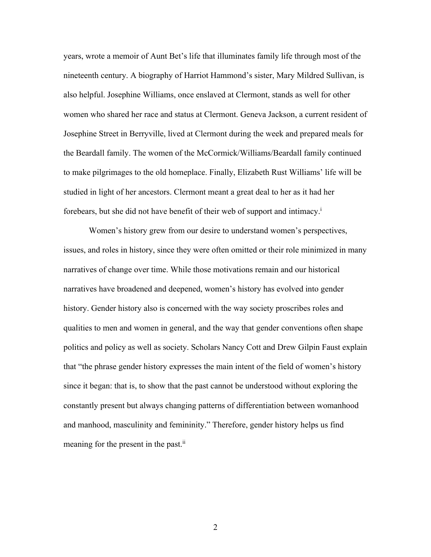years, wrote a memoir of Aunt Bet's life that illuminates family life through most of the nineteenth century. A biography of Harriot Hammond's sister, Mary Mildred Sullivan, is also helpful. Josephine Williams, once enslaved at Clermont, stands as well for other women who shared her race and status at Clermont. Geneva Jackson, a current resident of Josephine Street in Berryville, lived at Clermont during the week and prepared meals for the Beardall family. The women of the McCormick/Williams/Beardall family continued to make pilgrimages to the old homeplace. Finally, Elizabeth Rust Williams' life will be studied in light of her ancestors. Clermont meant a great deal to her as it had her forebears, but she did not have benefit of their web of support and intimacy.<sup>i</sup>

Women's history grew from our desire to understand women's perspectives, issues, and roles in history, since they were often omitted or their role minimized in many narratives of change over time. While those motivations remain and our historical narratives have broadened and deepened, women's history has evolved into gender history. Gender history also is concerned with the way society proscribes roles and qualities to men and women in general, and the way that gender conventions often shape politics and policy as well as society. Scholars Nancy Cott and Drew Gilpin Faust explain that "the phrase gender history expresses the main intent of the field of women's history since it began: that is, to show that the past cannot be understood without exploring the constantly present but always changing patterns of differentiation between womanhood and manhood, masculinity and femininity." Therefore, gender history helps us find meaning for the present in the past.<sup>ii</sup>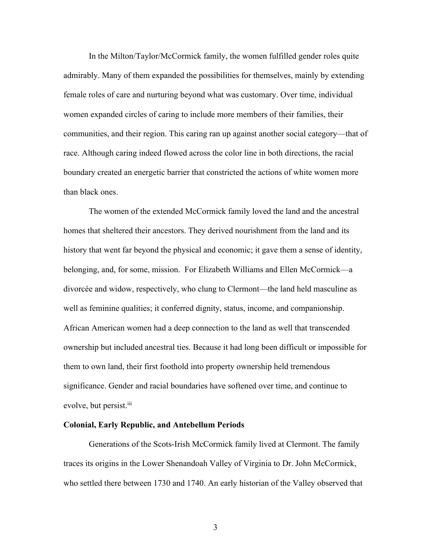In the Milton/Taylor/McCormick family, the women fulfilled gender roles quite admirably. Many of them expanded the possibilities for themselves, mainly by extending female roles of care and nurturing beyond what was customary. Over time, individual women expanded circles of caring to include more members of their families, their communities, and their region. This caring ran up against another social category—that of race. Although caring indeed flowed across the color line in both directions, the racial boundary created an energetic barrier that constricted the actions of white women more than black ones.

The women of the extended McCormick family loved the land and the ancestral homes that sheltered their ancestors. They derived nourishment from the land and its history that went far beyond the physical and economic; it gave them a sense of identity, belonging, and, for some, mission. For Elizabeth Williams and Ellen McCormick—a divorcée and widow, respectively, who clung to Clermont—the land held masculine as well as feminine qualities; it conferred dignity, status, income, and companionship. African American women had a deep connection to the land as well that transcended ownership but included ancestral ties. Because it had long been difficult or impossible for them to own land, their first foothold into property ownership held tremendous significance. Gender and racial boundaries have softened over time, and continue to evolve, but persist.<sup>iii</sup>

# **Colonial, Early Republic, and Antebellum Periods**

Generations of the Scots-Irish McCormick family lived at Clermont. The family traces its origins in the Lower Shenandoah Valley of Virginia to Dr. John McCormick, who settled there between 1730 and 1740. An early historian of the Valley observed that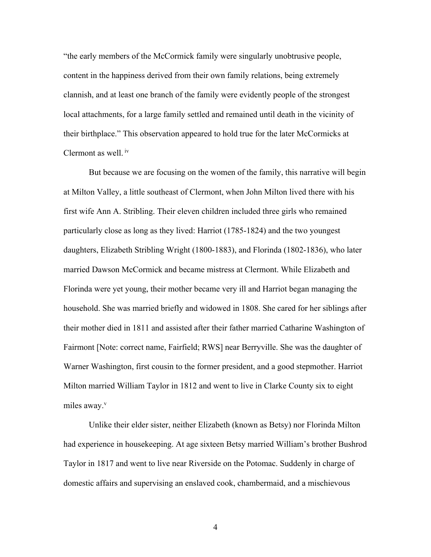"the early members of the McCormick family were singularly unobtrusive people, content in the happiness derived from their own family relations, being extremely clannish, and at least one branch of the family were evidently people of the strongest local attachments, for a large family settled and remained until death in the vicinity of their birthplace." This observation appeared to hold true for the later McCormicks at Clermont as well. iv

But because we are focusing on the women of the family, this narrative will begin at Milton Valley, a little southeast of Clermont, when John Milton lived there with his first wife Ann A. Stribling. Their eleven children included three girls who remained particularly close as long as they lived: Harriot (1785-1824) and the two youngest daughters, Elizabeth Stribling Wright (1800-1883), and Florinda (1802-1836), who later married Dawson McCormick and became mistress at Clermont. While Elizabeth and Florinda were yet young, their mother became very ill and Harriot began managing the household. She was married briefly and widowed in 1808. She cared for her siblings after their mother died in 1811 and assisted after their father married Catharine Washington of Fairmont [Note: correct name, Fairfield; RWS] near Berryville. She was the daughter of Warner Washington, first cousin to the former president, and a good stepmother. Harriot Milton married William Taylor in 1812 and went to live in Clarke County six to eight miles away. $v$ 

Unlike their elder sister, neither Elizabeth (known as Betsy) nor Florinda Milton had experience in housekeeping. At age sixteen Betsy married William's brother Bushrod Taylor in 1817 and went to live near Riverside on the Potomac. Suddenly in charge of domestic affairs and supervising an enslaved cook, chambermaid, and a mischievous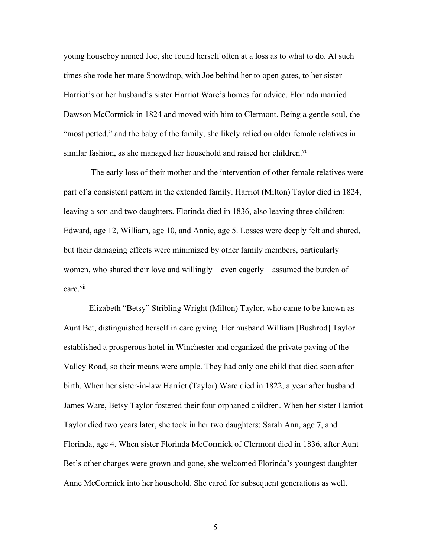young houseboy named Joe, she found herself often at a loss as to what to do. At such times she rode her mare Snowdrop, with Joe behind her to open gates, to her sister Harriot's or her husband's sister Harriot Ware's homes for advice. Florinda married Dawson McCormick in 1824 and moved with him to Clermont. Being a gentle soul, the "most petted," and the baby of the family, she likely relied on older female relatives in similar fashion, as she managed her household and raised her children.<sup>vi</sup>

The early loss of their mother and the intervention of other female relatives were part of a consistent pattern in the extended family. Harriot (Milton) Taylor died in 1824, leaving a son and two daughters. Florinda died in 1836, also leaving three children: Edward, age 12, William, age 10, and Annie, age 5. Losses were deeply felt and shared, but their damaging effects were minimized by other family members, particularly women, who shared their love and willingly—even eagerly—assumed the burden of care.<sup>vii</sup>

Elizabeth "Betsy" Stribling Wright (Milton) Taylor, who came to be known as Aunt Bet, distinguished herself in care giving. Her husband William [Bushrod] Taylor established a prosperous hotel in Winchester and organized the private paving of the Valley Road, so their means were ample. They had only one child that died soon after birth. When her sister-in-law Harriet (Taylor) Ware died in 1822, a year after husband James Ware, Betsy Taylor fostered their four orphaned children. When her sister Harriot Taylor died two years later, she took in her two daughters: Sarah Ann, age 7, and Florinda, age 4. When sister Florinda McCormick of Clermont died in 1836, after Aunt Bet's other charges were grown and gone, she welcomed Florinda's youngest daughter Anne McCormick into her household. She cared for subsequent generations as well.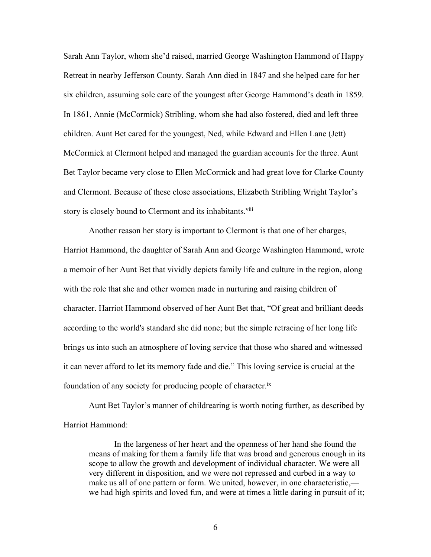Sarah Ann Taylor, whom she'd raised, married George Washington Hammond of Happy Retreat in nearby Jefferson County. Sarah Ann died in 1847 and she helped care for her six children, assuming sole care of the youngest after George Hammond's death in 1859. In 1861, Annie (McCormick) Stribling, whom she had also fostered, died and left three children. Aunt Bet cared for the youngest, Ned, while Edward and Ellen Lane (Jett) McCormick at Clermont helped and managed the guardian accounts for the three. Aunt Bet Taylor became very close to Ellen McCormick and had great love for Clarke County and Clermont. Because of these close associations, Elizabeth Stribling Wright Taylor's story is closely bound to Clermont and its inhabitants.<sup>viii</sup>

Another reason her story is important to Clermont is that one of her charges, Harriot Hammond, the daughter of Sarah Ann and George Washington Hammond, wrote a memoir of her Aunt Bet that vividly depicts family life and culture in the region, along with the role that she and other women made in nurturing and raising children of character. Harriot Hammond observed of her Aunt Bet that, "Of great and brilliant deeds according to the world's standard she did none; but the simple retracing of her long life brings us into such an atmosphere of loving service that those who shared and witnessed it can never afford to let its memory fade and die." This loving service is crucial at the foundation of any society for producing people of character.ix

Aunt Bet Taylor's manner of childrearing is worth noting further, as described by Harriot Hammond:

In the largeness of her heart and the openness of her hand she found the means of making for them a family life that was broad and generous enough in its scope to allow the growth and development of individual character. We were all very different in disposition, and we were not repressed and curbed in a way to make us all of one pattern or form. We united, however, in one characteristic, we had high spirits and loved fun, and were at times a little daring in pursuit of it;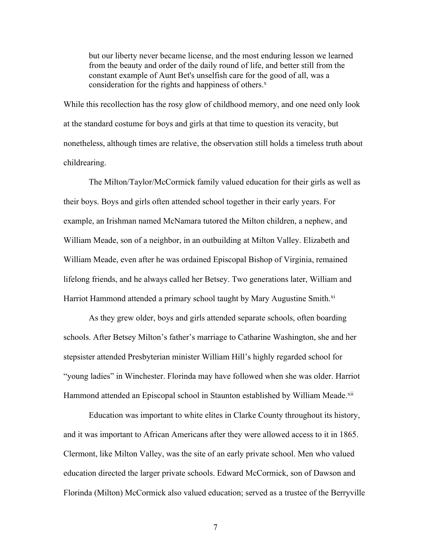but our liberty never became license, and the most enduring lesson we learned from the beauty and order of the daily round of life, and better still from the constant example of Aunt Bet's unselfish care for the good of all, was a consideration for the rights and happiness of others.<sup>x</sup>

While this recollection has the rosy glow of childhood memory, and one need only look at the standard costume for boys and girls at that time to question its veracity, but nonetheless, although times are relative, the observation still holds a timeless truth about childrearing.

The Milton/Taylor/McCormick family valued education for their girls as well as their boys. Boys and girls often attended school together in their early years. For example, an Irishman named McNamara tutored the Milton children, a nephew, and William Meade, son of a neighbor, in an outbuilding at Milton Valley. Elizabeth and William Meade, even after he was ordained Episcopal Bishop of Virginia, remained lifelong friends, and he always called her Betsey. Two generations later, William and Harriot Hammond attended a primary school taught by Mary Augustine Smith.<sup>xi</sup>

As they grew older, boys and girls attended separate schools, often boarding schools. After Betsey Milton's father's marriage to Catharine Washington, she and her stepsister attended Presbyterian minister William Hill's highly regarded school for "young ladies" in Winchester. Florinda may have followed when she was older. Harriot Hammond attended an Episcopal school in Staunton established by William Meade.<sup>xii</sup>

Education was important to white elites in Clarke County throughout its history, and it was important to African Americans after they were allowed access to it in 1865. Clermont, like Milton Valley, was the site of an early private school. Men who valued education directed the larger private schools. Edward McCormick, son of Dawson and Florinda (Milton) McCormick also valued education; served as a trustee of the Berryville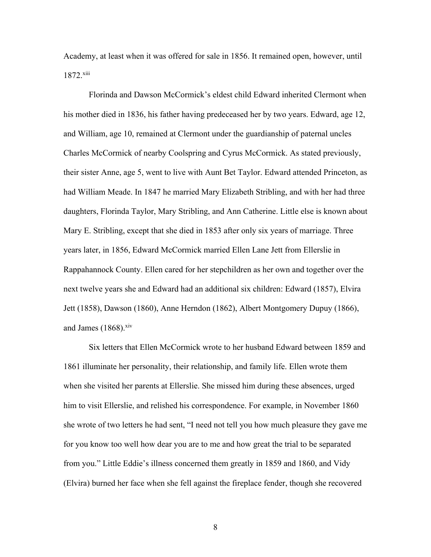Academy, at least when it was offered for sale in 1856. It remained open, however, until 1872.xiii

Florinda and Dawson McCormick's eldest child Edward inherited Clermont when his mother died in 1836, his father having predeceased her by two years. Edward, age 12, and William, age 10, remained at Clermont under the guardianship of paternal uncles Charles McCormick of nearby Coolspring and Cyrus McCormick. As stated previously, their sister Anne, age 5, went to live with Aunt Bet Taylor. Edward attended Princeton, as had William Meade. In 1847 he married Mary Elizabeth Stribling, and with her had three daughters, Florinda Taylor, Mary Stribling, and Ann Catherine. Little else is known about Mary E. Stribling, except that she died in 1853 after only six years of marriage. Three years later, in 1856, Edward McCormick married Ellen Lane Jett from Ellerslie in Rappahannock County. Ellen cared for her stepchildren as her own and together over the next twelve years she and Edward had an additional six children: Edward (1857), Elvira Jett (1858), Dawson (1860), Anne Herndon (1862), Albert Montgomery Dupuy (1866), and James  $(1868)$ .<sup>xiv</sup>

Six letters that Ellen McCormick wrote to her husband Edward between 1859 and 1861 illuminate her personality, their relationship, and family life. Ellen wrote them when she visited her parents at Ellerslie. She missed him during these absences, urged him to visit Ellerslie, and relished his correspondence. For example, in November 1860 she wrote of two letters he had sent, "I need not tell you how much pleasure they gave me for you know too well how dear you are to me and how great the trial to be separated from you." Little Eddie's illness concerned them greatly in 1859 and 1860, and Vidy (Elvira) burned her face when she fell against the fireplace fender, though she recovered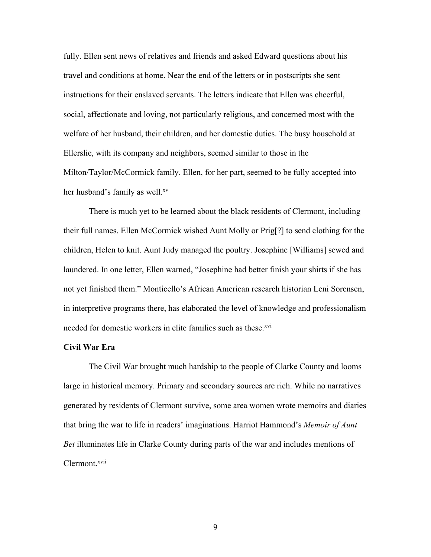fully. Ellen sent news of relatives and friends and asked Edward questions about his travel and conditions at home. Near the end of the letters or in postscripts she sent instructions for their enslaved servants. The letters indicate that Ellen was cheerful, social, affectionate and loving, not particularly religious, and concerned most with the welfare of her husband, their children, and her domestic duties. The busy household at Ellerslie, with its company and neighbors, seemed similar to those in the Milton/Taylor/McCormick family. Ellen, for her part, seemed to be fully accepted into her husband's family as well.<sup>xv</sup>

There is much yet to be learned about the black residents of Clermont, including their full names. Ellen McCormick wished Aunt Molly or Prig[?] to send clothing for the children, Helen to knit. Aunt Judy managed the poultry. Josephine [Williams] sewed and laundered. In one letter, Ellen warned, "Josephine had better finish your shirts if she has not yet finished them." Monticello's African American research historian Leni Sorensen, in interpretive programs there, has elaborated the level of knowledge and professionalism needed for domestic workers in elite families such as these.<sup>xvi</sup>

#### **Civil War Era**

The Civil War brought much hardship to the people of Clarke County and looms large in historical memory. Primary and secondary sources are rich. While no narratives generated by residents of Clermont survive, some area women wrote memoirs and diaries that bring the war to life in readers' imaginations. Harriot Hammond's *Memoir of Aunt Bet* illuminates life in Clarke County during parts of the war and includes mentions of Clermont.<sup>xvii</sup>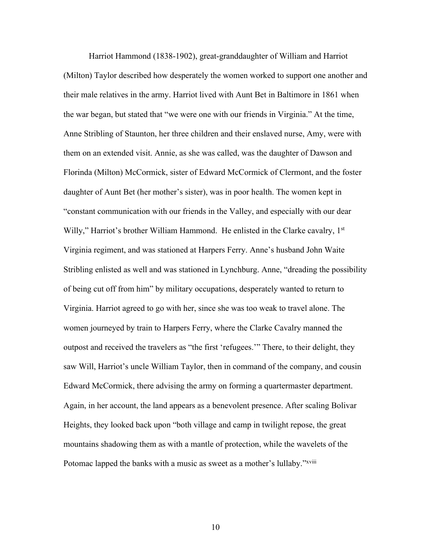Harriot Hammond (1838-1902), great-granddaughter of William and Harriot (Milton) Taylor described how desperately the women worked to support one another and their male relatives in the army. Harriot lived with Aunt Bet in Baltimore in 1861 when the war began, but stated that "we were one with our friends in Virginia." At the time, Anne Stribling of Staunton, her three children and their enslaved nurse, Amy, were with them on an extended visit. Annie, as she was called, was the daughter of Dawson and Florinda (Milton) McCormick, sister of Edward McCormick of Clermont, and the foster daughter of Aunt Bet (her mother's sister), was in poor health. The women kept in "constant communication with our friends in the Valley, and especially with our dear Willy," Harriot's brother William Hammond. He enlisted in the Clarke cavalry, 1<sup>st</sup> Virginia regiment, and was stationed at Harpers Ferry. Anne's husband John Waite Stribling enlisted as well and was stationed in Lynchburg. Anne, "dreading the possibility of being cut off from him" by military occupations, desperately wanted to return to Virginia. Harriot agreed to go with her, since she was too weak to travel alone. The women journeyed by train to Harpers Ferry, where the Clarke Cavalry manned the outpost and received the travelers as "the first 'refugees.'" There, to their delight, they saw Will, Harriot's uncle William Taylor, then in command of the company, and cousin Edward McCormick, there advising the army on forming a quartermaster department. Again, in her account, the land appears as a benevolent presence. After scaling Bolivar Heights, they looked back upon "both village and camp in twilight repose, the great mountains shadowing them as with a mantle of protection, while the wavelets of the Potomac lapped the banks with a music as sweet as a mother's lullaby."*xviii*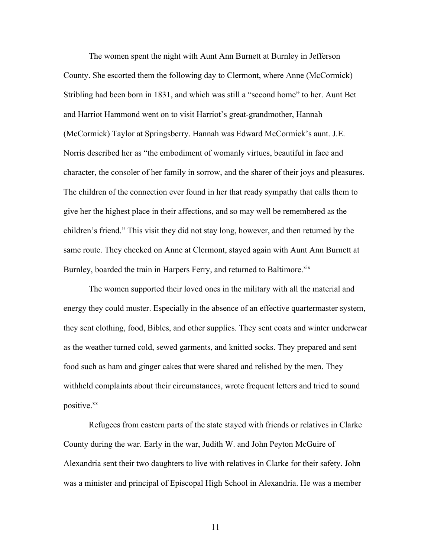The women spent the night with Aunt Ann Burnett at Burnley in Jefferson County. She escorted them the following day to Clermont, where Anne (McCormick) Stribling had been born in 1831, and which was still a "second home" to her. Aunt Bet and Harriot Hammond went on to visit Harriot's great-grandmother, Hannah (McCormick) Taylor at Springsberry. Hannah was Edward McCormick's aunt. J.E. Norris described her as "the embodiment of womanly virtues, beautiful in face and character, the consoler of her family in sorrow, and the sharer of their joys and pleasures. The children of the connection ever found in her that ready sympathy that calls them to give her the highest place in their affections, and so may well be remembered as the children's friend." This visit they did not stay long, however, and then returned by the same route. They checked on Anne at Clermont, stayed again with Aunt Ann Burnett at Burnley, boarded the train in Harpers Ferry, and returned to Baltimore.<sup>xix</sup>

The women supported their loved ones in the military with all the material and energy they could muster. Especially in the absence of an effective quartermaster system, they sent clothing, food, Bibles, and other supplies. They sent coats and winter underwear as the weather turned cold, sewed garments, and knitted socks. They prepared and sent food such as ham and ginger cakes that were shared and relished by the men. They withheld complaints about their circumstances, wrote frequent letters and tried to sound positive.<sup>xx</sup>

Refugees from eastern parts of the state stayed with friends or relatives in Clarke County during the war. Early in the war, Judith W. and John Peyton McGuire of Alexandria sent their two daughters to live with relatives in Clarke for their safety. John was a minister and principal of Episcopal High School in Alexandria. He was a member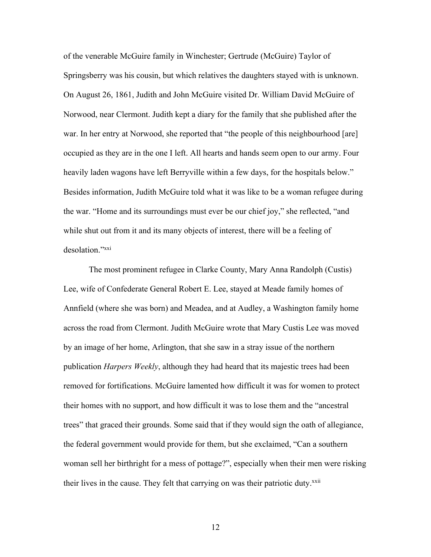of the venerable McGuire family in Winchester; Gertrude (McGuire) Taylor of Springsberry was his cousin, but which relatives the daughters stayed with is unknown. On August 26, 1861, Judith and John McGuire visited Dr. William David McGuire of Norwood, near Clermont. Judith kept a diary for the family that she published after the war. In her entry at Norwood, she reported that "the people of this neighbourhood [are] occupied as they are in the one I left. All hearts and hands seem open to our army. Four heavily laden wagons have left Berryville within a few days, for the hospitals below." Besides information, Judith McGuire told what it was like to be a woman refugee during the war. "Home and its surroundings must ever be our chief joy," she reflected, "and while shut out from it and its many objects of interest, there will be a feeling of desolation."xxi

The most prominent refugee in Clarke County, Mary Anna Randolph (Custis) Lee, wife of Confederate General Robert E. Lee, stayed at Meade family homes of Annfield (where she was born) and Meadea, and at Audley, a Washington family home across the road from Clermont. Judith McGuire wrote that Mary Custis Lee was moved by an image of her home, Arlington, that she saw in a stray issue of the northern publication *Harpers Weekly*, although they had heard that its majestic trees had been removed for fortifications. McGuire lamented how difficult it was for women to protect their homes with no support, and how difficult it was to lose them and the "ancestral trees" that graced their grounds. Some said that if they would sign the oath of allegiance, the federal government would provide for them, but she exclaimed, "Can a southern woman sell her birthright for a mess of pottage?", especially when their men were risking their lives in the cause. They felt that carrying on was their patriotic duty.<sup>xxii</sup>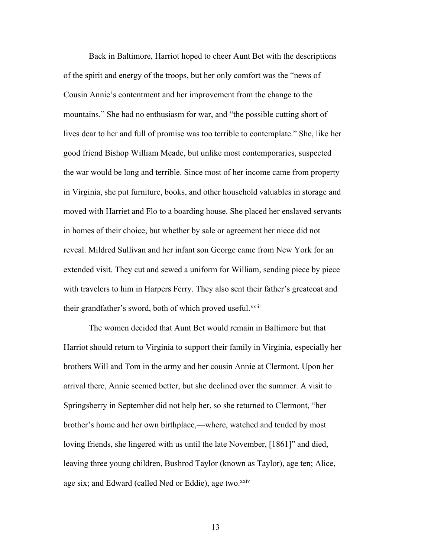Back in Baltimore, Harriot hoped to cheer Aunt Bet with the descriptions of the spirit and energy of the troops, but her only comfort was the "news of Cousin Annie's contentment and her improvement from the change to the mountains." She had no enthusiasm for war, and "the possible cutting short of lives dear to her and full of promise was too terrible to contemplate." She, like her good friend Bishop William Meade, but unlike most contemporaries, suspected the war would be long and terrible. Since most of her income came from property in Virginia, she put furniture, books, and other household valuables in storage and moved with Harriet and Flo to a boarding house. She placed her enslaved servants in homes of their choice, but whether by sale or agreement her niece did not reveal. Mildred Sullivan and her infant son George came from New York for an extended visit. They cut and sewed a uniform for William, sending piece by piece with travelers to him in Harpers Ferry. They also sent their father's greatcoat and their grandfather's sword, both of which proved useful.<sup>xxiii</sup>

The women decided that Aunt Bet would remain in Baltimore but that Harriot should return to Virginia to support their family in Virginia, especially her brothers Will and Tom in the army and her cousin Annie at Clermont. Upon her arrival there, Annie seemed better, but she declined over the summer. A visit to Springsberry in September did not help her, so she returned to Clermont, "her brother's home and her own birthplace,—where, watched and tended by most loving friends, she lingered with us until the late November, [1861]" and died, leaving three young children, Bushrod Taylor (known as Taylor), age ten; Alice, age six; and Edward (called Ned or Eddie), age two.<sup>xxiv</sup>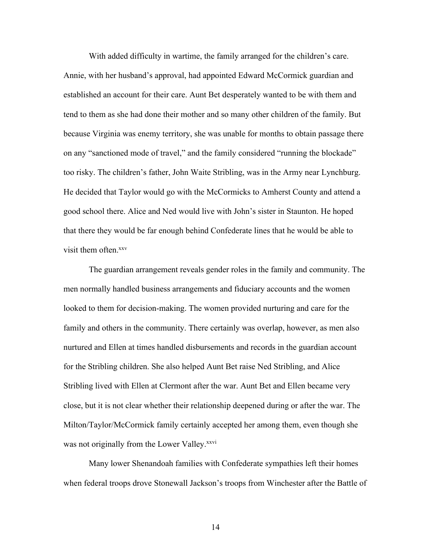With added difficulty in wartime, the family arranged for the children's care. Annie, with her husband's approval, had appointed Edward McCormick guardian and established an account for their care. Aunt Bet desperately wanted to be with them and tend to them as she had done their mother and so many other children of the family. But because Virginia was enemy territory, she was unable for months to obtain passage there on any "sanctioned mode of travel," and the family considered "running the blockade" too risky. The children's father, John Waite Stribling, was in the Army near Lynchburg. He decided that Taylor would go with the McCormicks to Amherst County and attend a good school there. Alice and Ned would live with John's sister in Staunton. He hoped that there they would be far enough behind Confederate lines that he would be able to visit them often.<sup>xxv</sup>

The guardian arrangement reveals gender roles in the family and community. The men normally handled business arrangements and fiduciary accounts and the women looked to them for decision-making. The women provided nurturing and care for the family and others in the community. There certainly was overlap, however, as men also nurtured and Ellen at times handled disbursements and records in the guardian account for the Stribling children. She also helped Aunt Bet raise Ned Stribling, and Alice Stribling lived with Ellen at Clermont after the war. Aunt Bet and Ellen became very close, but it is not clear whether their relationship deepened during or after the war. The Milton/Taylor/McCormick family certainly accepted her among them, even though she was not originally from the Lower Valley.<sup>xxvi</sup>

Many lower Shenandoah families with Confederate sympathies left their homes when federal troops drove Stonewall Jackson's troops from Winchester after the Battle of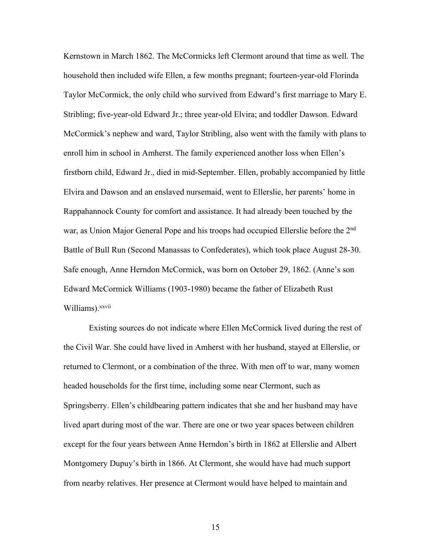Kernstown in March 1862. The McCormicks left Clermont around that time as well. The household then included wife Ellen, a few months pregnant; fourteen-year-old Florinda Taylor McCormick, the only child who survived from Edward's first marriage to Mary E. Stribling; five-year-old Edward Jr.; three year-old Elvira; and toddler Dawson. Edward McCormick's nephew and ward, Taylor Stribling, also went with the family with plans to enroll him in school in Amherst. The family experienced another loss when Ellen's firstborn child, Edward Jr., died in mid-September. Ellen, probably accompanied by little Elvira and Dawson and an enslaved nursemaid, went to Ellerslie, her parents' home in Rappahannock County for comfort and assistance. It had already been touched by the war, as Union Major General Pope and his troops had occupied Ellerslie before the 2<sup>nd</sup> Battle of Bull Run (Second Manassas to Confederates), which took place August 28-30. Safe enough, Anne Herndon McCormick, was born on October 29, 1862. (Anne's son Edward McCormick Williams (1903-1980) became the father of Elizabeth Rust Williams).<sup>xxvii</sup>

Existing sources do not indicate where Ellen McCormick lived during the rest of the Civil War. She could have lived in Amherst with her husband, stayed at Ellerslie, or returned to Clermont, or a combination of the three. With men off to war, many women headed households for the first time, including some near Clermont, such as Springsberry. Ellen's childbearing pattern indicates that she and her husband may have lived apart during most of the war. There are one or two year spaces between children except for the four years between Anne Herndon's birth in 1862 at Ellerslie and Albert Montgomery Dupuy's birth in 1866. At Clermont, she would have had much support from nearby relatives. Her presence at Clermont would have helped to maintain and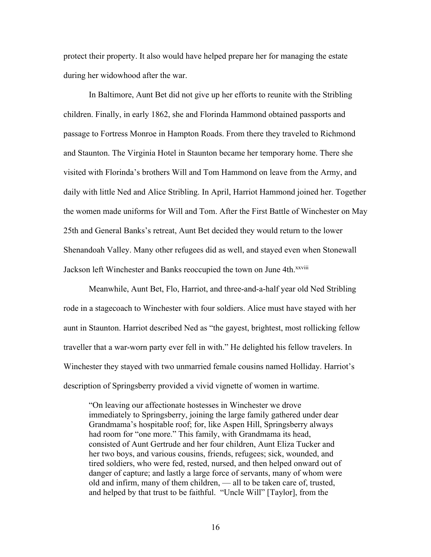protect their property. It also would have helped prepare her for managing the estate during her widowhood after the war.

In Baltimore, Aunt Bet did not give up her efforts to reunite with the Stribling children. Finally, in early 1862, she and Florinda Hammond obtained passports and passage to Fortress Monroe in Hampton Roads. From there they traveled to Richmond and Staunton. The Virginia Hotel in Staunton became her temporary home. There she visited with Florinda's brothers Will and Tom Hammond on leave from the Army, and daily with little Ned and Alice Stribling. In April, Harriot Hammond joined her. Together the women made uniforms for Will and Tom. After the First Battle of Winchester on May 25th and General Banks's retreat, Aunt Bet decided they would return to the lower Shenandoah Valley. Many other refugees did as well, and stayed even when Stonewall Jackson left Winchester and Banks reoccupied the town on June 4th.<sup>xxviii</sup>

Meanwhile, Aunt Bet, Flo, Harriot, and three-and-a-half year old Ned Stribling rode in a stagecoach to Winchester with four soldiers. Alice must have stayed with her aunt in Staunton. Harriot described Ned as "the gayest, brightest, most rollicking fellow traveller that a war-worn party ever fell in with." He delighted his fellow travelers. In Winchester they stayed with two unmarried female cousins named Holliday. Harriot's description of Springsberry provided a vivid vignette of women in wartime.

"On leaving our affectionate hostesses in Winchester we drove immediately to Springsberry, joining the large family gathered under dear Grandmama's hospitable roof; for, like Aspen Hill, Springsberry always had room for "one more." This family, with Grandmama its head, consisted of Aunt Gertrude and her four children, Aunt Eliza Tucker and her two boys, and various cousins, friends, refugees; sick, wounded, and tired soldiers, who were fed, rested, nursed, and then helped onward out of danger of capture; and lastly a large force of servants, many of whom were old and infirm, many of them children, — all to be taken care of, trusted, and helped by that trust to be faithful. "Uncle Will" [Taylor], from the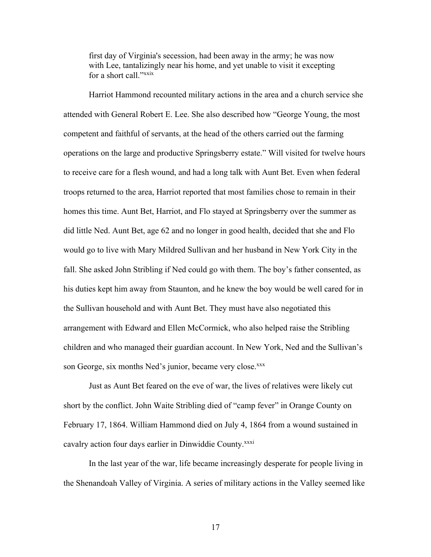first day of Virginia's secession, had been away in the army; he was now with Lee, tantalizingly near his home, and yet unable to visit it excepting for a short call."xxix

Harriot Hammond recounted military actions in the area and a church service she attended with General Robert E. Lee. She also described how "George Young, the most competent and faithful of servants, at the head of the others carried out the farming operations on the large and productive Springsberry estate." Will visited for twelve hours to receive care for a flesh wound, and had a long talk with Aunt Bet. Even when federal troops returned to the area, Harriot reported that most families chose to remain in their homes this time. Aunt Bet, Harriot, and Flo stayed at Springsberry over the summer as did little Ned. Aunt Bet, age 62 and no longer in good health, decided that she and Flo would go to live with Mary Mildred Sullivan and her husband in New York City in the fall. She asked John Stribling if Ned could go with them. The boy's father consented, as his duties kept him away from Staunton, and he knew the boy would be well cared for in the Sullivan household and with Aunt Bet. They must have also negotiated this arrangement with Edward and Ellen McCormick, who also helped raise the Stribling children and who managed their guardian account. In New York, Ned and the Sullivan's son George, six months Ned's junior, became very close.<sup>xxx</sup>

Just as Aunt Bet feared on the eve of war, the lives of relatives were likely cut short by the conflict. John Waite Stribling died of "camp fever" in Orange County on February 17, 1864. William Hammond died on July 4, 1864 from a wound sustained in cavalry action four days earlier in Dinwiddie County.<sup>xxxi</sup>

In the last year of the war, life became increasingly desperate for people living in the Shenandoah Valley of Virginia. A series of military actions in the Valley seemed like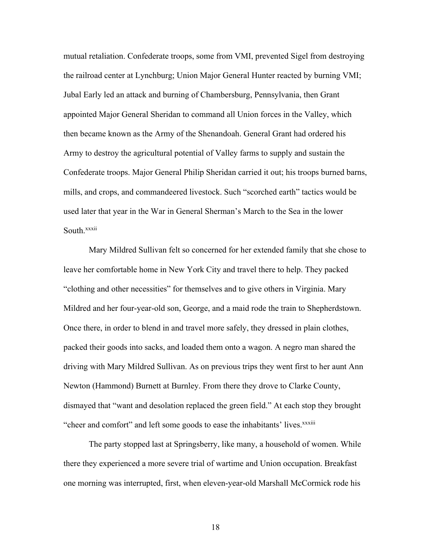mutual retaliation. Confederate troops, some from VMI, prevented Sigel from destroying the railroad center at Lynchburg; Union Major General Hunter reacted by burning VMI; Jubal Early led an attack and burning of Chambersburg, Pennsylvania, then Grant appointed Major General Sheridan to command all Union forces in the Valley, which then became known as the Army of the Shenandoah. General Grant had ordered his Army to destroy the agricultural potential of Valley farms to supply and sustain the Confederate troops. Major General Philip Sheridan carried it out; his troops burned barns, mills, and crops, and commandeered livestock. Such "scorched earth" tactics would be used later that year in the War in General Sherman's March to the Sea in the lower South.<sup>xxxii</sup>

Mary Mildred Sullivan felt so concerned for her extended family that she chose to leave her comfortable home in New York City and travel there to help. They packed "clothing and other necessities" for themselves and to give others in Virginia. Mary Mildred and her four-year-old son, George, and a maid rode the train to Shepherdstown. Once there, in order to blend in and travel more safely, they dressed in plain clothes, packed their goods into sacks, and loaded them onto a wagon. A negro man shared the driving with Mary Mildred Sullivan. As on previous trips they went first to her aunt Ann Newton (Hammond) Burnett at Burnley. From there they drove to Clarke County, dismayed that "want and desolation replaced the green field." At each stop they brought "cheer and comfort" and left some goods to ease the inhabitants' lives.<sup>xxxiii</sup>

The party stopped last at Springsberry, like many, a household of women. While there they experienced a more severe trial of wartime and Union occupation. Breakfast one morning was interrupted, first, when eleven-year-old Marshall McCormick rode his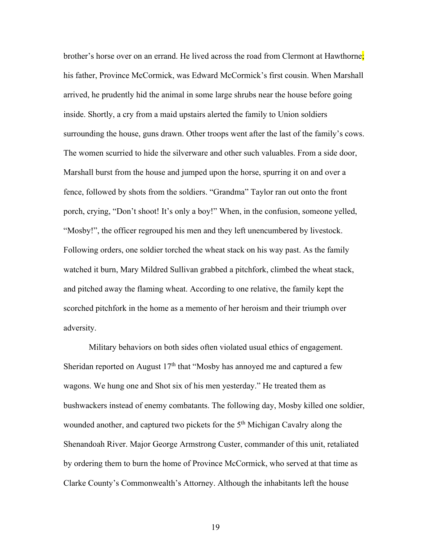brother's horse over on an errand. He lived across the road from Clermont at Hawthorne; his father, Province McCormick, was Edward McCormick's first cousin. When Marshall arrived, he prudently hid the animal in some large shrubs near the house before going inside. Shortly, a cry from a maid upstairs alerted the family to Union soldiers surrounding the house, guns drawn. Other troops went after the last of the family's cows. The women scurried to hide the silverware and other such valuables. From a side door, Marshall burst from the house and jumped upon the horse, spurring it on and over a fence, followed by shots from the soldiers. "Grandma" Taylor ran out onto the front porch, crying, "Don't shoot! It's only a boy!" When, in the confusion, someone yelled, "Mosby!", the officer regrouped his men and they left unencumbered by livestock. Following orders, one soldier torched the wheat stack on his way past. As the family watched it burn, Mary Mildred Sullivan grabbed a pitchfork, climbed the wheat stack, and pitched away the flaming wheat. According to one relative, the family kept the scorched pitchfork in the home as a memento of her heroism and their triumph over adversity.

Military behaviors on both sides often violated usual ethics of engagement. Sheridan reported on August  $17<sup>th</sup>$  that "Mosby has annoyed me and captured a few wagons. We hung one and Shot six of his men yesterday." He treated them as bushwackers instead of enemy combatants. The following day, Mosby killed one soldier, wounded another, and captured two pickets for the 5<sup>th</sup> Michigan Cavalry along the Shenandoah River. Major George Armstrong Custer, commander of this unit, retaliated by ordering them to burn the home of Province McCormick, who served at that time as Clarke County's Commonwealth's Attorney. Although the inhabitants left the house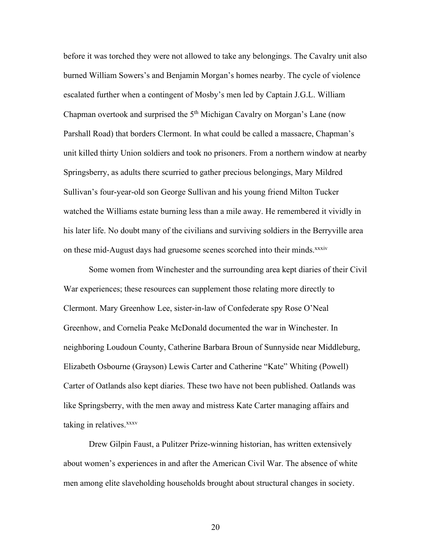before it was torched they were not allowed to take any belongings. The Cavalry unit also burned William Sowers's and Benjamin Morgan's homes nearby. The cycle of violence escalated further when a contingent of Mosby's men led by Captain J.G.L. William Chapman overtook and surprised the 5<sup>th</sup> Michigan Cavalry on Morgan's Lane (now Parshall Road) that borders Clermont. In what could be called a massacre, Chapman's unit killed thirty Union soldiers and took no prisoners. From a northern window at nearby Springsberry, as adults there scurried to gather precious belongings, Mary Mildred Sullivan's four-year-old son George Sullivan and his young friend Milton Tucker watched the Williams estate burning less than a mile away. He remembered it vividly in his later life. No doubt many of the civilians and surviving soldiers in the Berryville area on these mid-August days had gruesome scenes scorched into their minds.<sup>xxxiv</sup>

Some women from Winchester and the surrounding area kept diaries of their Civil War experiences; these resources can supplement those relating more directly to Clermont. Mary Greenhow Lee, sister-in-law of Confederate spy Rose O'Neal Greenhow, and Cornelia Peake McDonald documented the war in Winchester. In neighboring Loudoun County, Catherine Barbara Broun of Sunnyside near Middleburg, Elizabeth Osbourne (Grayson) Lewis Carter and Catherine "Kate" Whiting (Powell) Carter of Oatlands also kept diaries. These two have not been published. Oatlands was like Springsberry, with the men away and mistress Kate Carter managing affairs and taking in relatives.<sup>xxxv</sup>

Drew Gilpin Faust, a Pulitzer Prize-winning historian, has written extensively about women's experiences in and after the American Civil War. The absence of white men among elite slaveholding households brought about structural changes in society.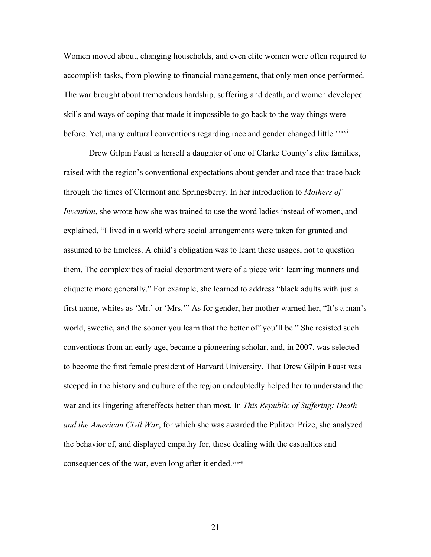Women moved about, changing households, and even elite women were often required to accomplish tasks, from plowing to financial management, that only men once performed. The war brought about tremendous hardship, suffering and death, and women developed skills and ways of coping that made it impossible to go back to the way things were before. Yet, many cultural conventions regarding race and gender changed little.<sup>xxxvi</sup>

Drew Gilpin Faust is herself a daughter of one of Clarke County's elite families, raised with the region's conventional expectations about gender and race that trace back through the times of Clermont and Springsberry. In her introduction to *Mothers of Invention*, she wrote how she was trained to use the word ladies instead of women, and explained, "I lived in a world where social arrangements were taken for granted and assumed to be timeless. A child's obligation was to learn these usages, not to question them. The complexities of racial deportment were of a piece with learning manners and etiquette more generally." For example, she learned to address "black adults with just a first name, whites as 'Mr.' or 'Mrs.'" As for gender, her mother warned her, "It's a man's world, sweetie, and the sooner you learn that the better off you'll be." She resisted such conventions from an early age, became a pioneering scholar, and, in 2007, was selected to become the first female president of Harvard University. That Drew Gilpin Faust was steeped in the history and culture of the region undoubtedly helped her to understand the war and its lingering aftereffects better than most. In *This Republic of Suffering: Death and the American Civil War*, for which she was awarded the Pulitzer Prize, she analyzed the behavior of, and displayed empathy for, those dealing with the casualties and consequences of the war, even long after it ended.xxxvii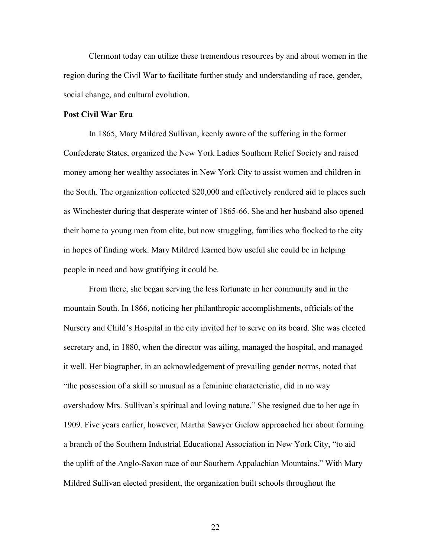Clermont today can utilize these tremendous resources by and about women in the region during the Civil War to facilitate further study and understanding of race, gender, social change, and cultural evolution.

#### **Post Civil War Era**

In 1865, Mary Mildred Sullivan, keenly aware of the suffering in the former Confederate States, organized the New York Ladies Southern Relief Society and raised money among her wealthy associates in New York City to assist women and children in the South. The organization collected \$20,000 and effectively rendered aid to places such as Winchester during that desperate winter of 1865-66. She and her husband also opened their home to young men from elite, but now struggling, families who flocked to the city in hopes of finding work. Mary Mildred learned how useful she could be in helping people in need and how gratifying it could be.

From there, she began serving the less fortunate in her community and in the mountain South. In 1866, noticing her philanthropic accomplishments, officials of the Nursery and Child's Hospital in the city invited her to serve on its board. She was elected secretary and, in 1880, when the director was ailing, managed the hospital, and managed it well. Her biographer, in an acknowledgement of prevailing gender norms, noted that "the possession of a skill so unusual as a feminine characteristic, did in no way overshadow Mrs. Sullivan's spiritual and loving nature." She resigned due to her age in 1909. Five years earlier, however, Martha Sawyer Gielow approached her about forming a branch of the Southern Industrial Educational Association in New York City, "to aid the uplift of the Anglo-Saxon race of our Southern Appalachian Mountains." With Mary Mildred Sullivan elected president, the organization built schools throughout the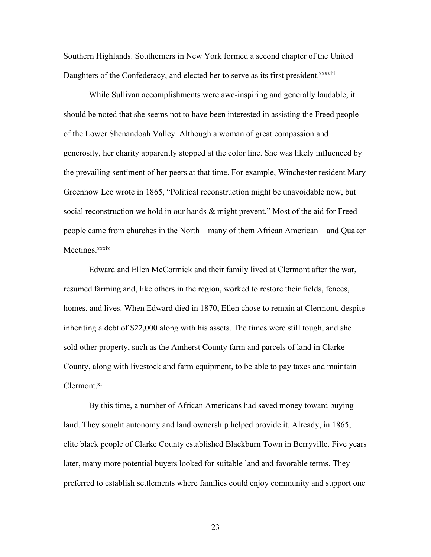Southern Highlands. Southerners in New York formed a second chapter of the United Daughters of the Confederacy, and elected her to serve as its first president.<sup>xxxviii</sup>

While Sullivan accomplishments were awe-inspiring and generally laudable, it should be noted that she seems not to have been interested in assisting the Freed people of the Lower Shenandoah Valley. Although a woman of great compassion and generosity, her charity apparently stopped at the color line. She was likely influenced by the prevailing sentiment of her peers at that time. For example, Winchester resident Mary Greenhow Lee wrote in 1865, "Political reconstruction might be unavoidable now, but social reconstruction we hold in our hands & might prevent." Most of the aid for Freed people came from churches in the North—many of them African American—and Quaker Meetings.<sup>xxxix</sup>

Edward and Ellen McCormick and their family lived at Clermont after the war, resumed farming and, like others in the region, worked to restore their fields, fences, homes, and lives. When Edward died in 1870, Ellen chose to remain at Clermont, despite inheriting a debt of \$22,000 along with his assets. The times were still tough, and she sold other property, such as the Amherst County farm and parcels of land in Clarke County, along with livestock and farm equipment, to be able to pay taxes and maintain Clermont.<sup>xl</sup>

By this time, a number of African Americans had saved money toward buying land. They sought autonomy and land ownership helped provide it. Already, in 1865, elite black people of Clarke County established Blackburn Town in Berryville. Five years later, many more potential buyers looked for suitable land and favorable terms. They preferred to establish settlements where families could enjoy community and support one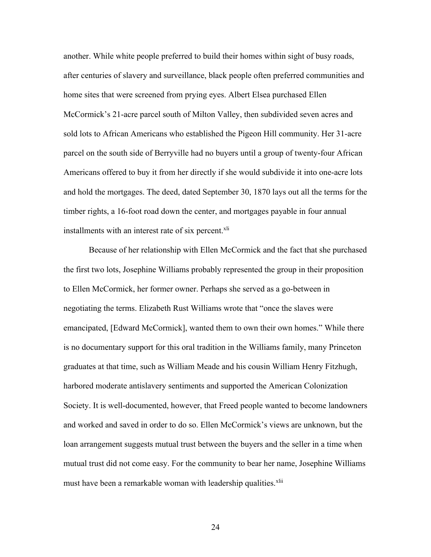another. While white people preferred to build their homes within sight of busy roads, after centuries of slavery and surveillance, black people often preferred communities and home sites that were screened from prying eyes. Albert Elsea purchased Ellen McCormick's 21-acre parcel south of Milton Valley, then subdivided seven acres and sold lots to African Americans who established the Pigeon Hill community. Her 31-acre parcel on the south side of Berryville had no buyers until a group of twenty-four African Americans offered to buy it from her directly if she would subdivide it into one-acre lots and hold the mortgages. The deed, dated September 30, 1870 lays out all the terms for the timber rights, a 16-foot road down the center, and mortgages payable in four annual installments with an interest rate of six percent.<sup>xli</sup>

Because of her relationship with Ellen McCormick and the fact that she purchased the first two lots, Josephine Williams probably represented the group in their proposition to Ellen McCormick, her former owner. Perhaps she served as a go-between in negotiating the terms. Elizabeth Rust Williams wrote that "once the slaves were emancipated, [Edward McCormick], wanted them to own their own homes." While there is no documentary support for this oral tradition in the Williams family, many Princeton graduates at that time, such as William Meade and his cousin William Henry Fitzhugh, harbored moderate antislavery sentiments and supported the American Colonization Society. It is well-documented, however, that Freed people wanted to become landowners and worked and saved in order to do so. Ellen McCormick's views are unknown, but the loan arrangement suggests mutual trust between the buyers and the seller in a time when mutual trust did not come easy. For the community to bear her name, Josephine Williams must have been a remarkable woman with leadership qualities.<sup>xlii</sup>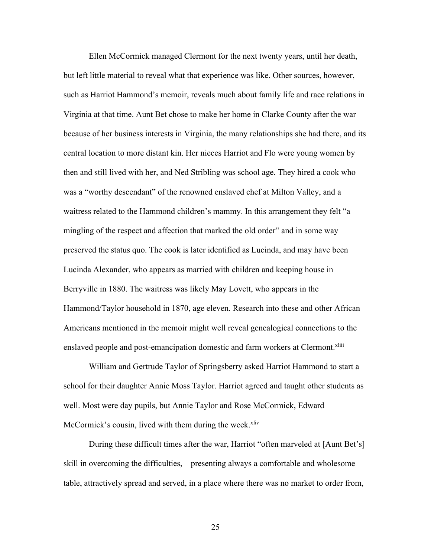Ellen McCormick managed Clermont for the next twenty years, until her death, but left little material to reveal what that experience was like. Other sources, however, such as Harriot Hammond's memoir, reveals much about family life and race relations in Virginia at that time. Aunt Bet chose to make her home in Clarke County after the war because of her business interests in Virginia, the many relationships she had there, and its central location to more distant kin. Her nieces Harriot and Flo were young women by then and still lived with her, and Ned Stribling was school age. They hired a cook who was a "worthy descendant" of the renowned enslaved chef at Milton Valley, and a waitress related to the Hammond children's mammy. In this arrangement they felt "a mingling of the respect and affection that marked the old order" and in some way preserved the status quo. The cook is later identified as Lucinda, and may have been Lucinda Alexander, who appears as married with children and keeping house in Berryville in 1880. The waitress was likely May Lovett, who appears in the Hammond/Taylor household in 1870, age eleven. Research into these and other African Americans mentioned in the memoir might well reveal genealogical connections to the enslaved people and post-emancipation domestic and farm workers at Clermont.<sup>xliii</sup>

William and Gertrude Taylor of Springsberry asked Harriot Hammond to start a school for their daughter Annie Moss Taylor. Harriot agreed and taught other students as well. Most were day pupils, but Annie Taylor and Rose McCormick, Edward McCormick's cousin, lived with them during the week. $x$ liv

During these difficult times after the war, Harriot "often marveled at [Aunt Bet's] skill in overcoming the difficulties,—presenting always a comfortable and wholesome table, attractively spread and served, in a place where there was no market to order from,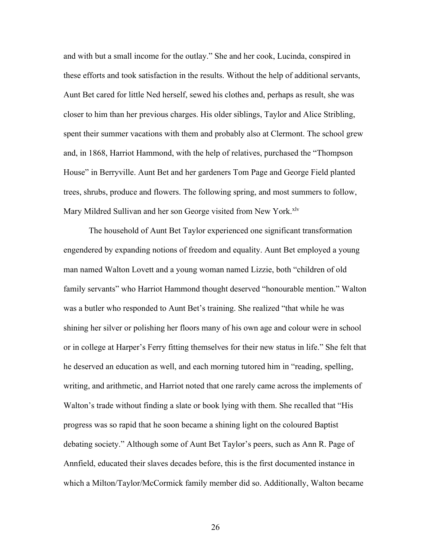and with but a small income for the outlay." She and her cook, Lucinda, conspired in these efforts and took satisfaction in the results. Without the help of additional servants, Aunt Bet cared for little Ned herself, sewed his clothes and, perhaps as result, she was closer to him than her previous charges. His older siblings, Taylor and Alice Stribling, spent their summer vacations with them and probably also at Clermont. The school grew and, in 1868, Harriot Hammond, with the help of relatives, purchased the "Thompson House" in Berryville. Aunt Bet and her gardeners Tom Page and George Field planted trees, shrubs, produce and flowers. The following spring, and most summers to follow, Mary Mildred Sullivan and her son George visited from New York.<sup>xlv</sup>

The household of Aunt Bet Taylor experienced one significant transformation engendered by expanding notions of freedom and equality. Aunt Bet employed a young man named Walton Lovett and a young woman named Lizzie, both "children of old family servants" who Harriot Hammond thought deserved "honourable mention." Walton was a butler who responded to Aunt Bet's training. She realized "that while he was shining her silver or polishing her floors many of his own age and colour were in school or in college at Harper's Ferry fitting themselves for their new status in life." She felt that he deserved an education as well, and each morning tutored him in "reading, spelling, writing, and arithmetic, and Harriot noted that one rarely came across the implements of Walton's trade without finding a slate or book lying with them. She recalled that "His progress was so rapid that he soon became a shining light on the coloured Baptist debating society." Although some of Aunt Bet Taylor's peers, such as Ann R. Page of Annfield, educated their slaves decades before, this is the first documented instance in which a Milton/Taylor/McCormick family member did so. Additionally, Walton became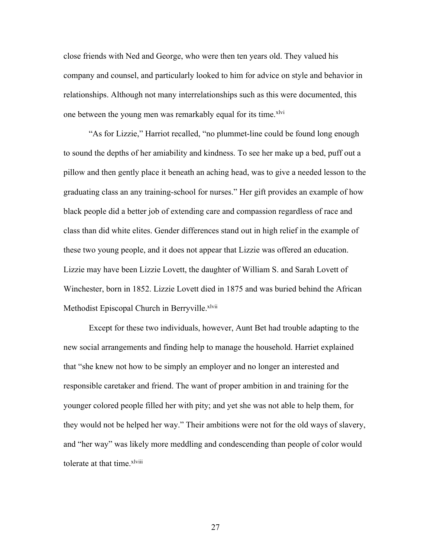close friends with Ned and George, who were then ten years old. They valued his company and counsel, and particularly looked to him for advice on style and behavior in relationships. Although not many interrelationships such as this were documented, this one between the young men was remarkably equal for its time.<sup>xlvi</sup>

"As for Lizzie," Harriot recalled, "no plummet-line could be found long enough to sound the depths of her amiability and kindness. To see her make up a bed, puff out a pillow and then gently place it beneath an aching head, was to give a needed lesson to the graduating class an any training-school for nurses." Her gift provides an example of how black people did a better job of extending care and compassion regardless of race and class than did white elites. Gender differences stand out in high relief in the example of these two young people, and it does not appear that Lizzie was offered an education. Lizzie may have been Lizzie Lovett, the daughter of William S. and Sarah Lovett of Winchester, born in 1852. Lizzie Lovett died in 1875 and was buried behind the African Methodist Episcopal Church in Berryville.<sup>xlvii</sup>

Except for these two individuals, however, Aunt Bet had trouble adapting to the new social arrangements and finding help to manage the household. Harriet explained that "she knew not how to be simply an employer and no longer an interested and responsible caretaker and friend. The want of proper ambition in and training for the younger colored people filled her with pity; and yet she was not able to help them, for they would not be helped her way." Their ambitions were not for the old ways of slavery, and "her way" was likely more meddling and condescending than people of color would tolerate at that time.<sup>xlviii</sup>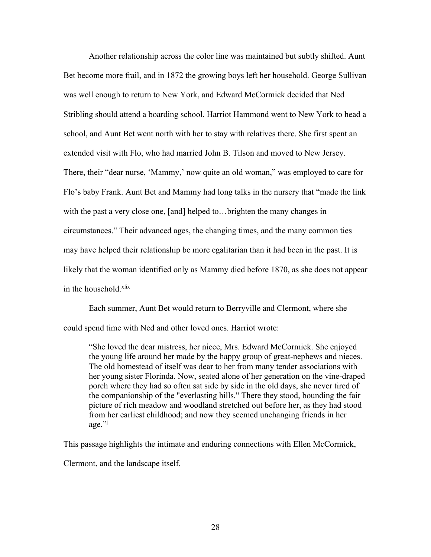Another relationship across the color line was maintained but subtly shifted. Aunt Bet become more frail, and in 1872 the growing boys left her household. George Sullivan was well enough to return to New York, and Edward McCormick decided that Ned Stribling should attend a boarding school. Harriot Hammond went to New York to head a school, and Aunt Bet went north with her to stay with relatives there. She first spent an extended visit with Flo, who had married John B. Tilson and moved to New Jersey. There, their "dear nurse, 'Mammy,' now quite an old woman," was employed to care for Flo's baby Frank. Aunt Bet and Mammy had long talks in the nursery that "made the link with the past a very close one, [and] helped to...brighten the many changes in circumstances." Their advanced ages, the changing times, and the many common ties may have helped their relationship be more egalitarian than it had been in the past. It is likely that the woman identified only as Mammy died before 1870, as she does not appear in the household.<sup>xlix</sup>

Each summer, Aunt Bet would return to Berryville and Clermont, where she could spend time with Ned and other loved ones. Harriot wrote:

"She loved the dear mistress, her niece, Mrs. Edward McCormick. She enjoyed the young life around her made by the happy group of great-nephews and nieces. The old homestead of itself was dear to her from many tender associations with her young sister Florinda. Now, seated alone of her generation on the vine-draped porch where they had so often sat side by side in the old days, she never tired of the companionship of the "everlasting hills." There they stood, bounding the fair picture of rich meadow and woodland stretched out before her, as they had stood from her earliest childhood; and now they seemed unchanging friends in her  $\text{age}$ ."

This passage highlights the intimate and enduring connections with Ellen McCormick,

Clermont, and the landscape itself.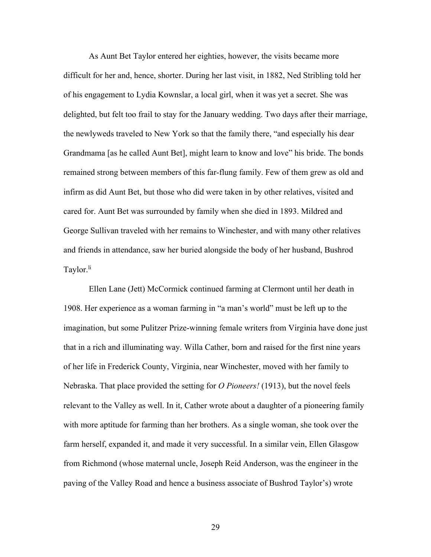As Aunt Bet Taylor entered her eighties, however, the visits became more difficult for her and, hence, shorter. During her last visit, in 1882, Ned Stribling told her of his engagement to Lydia Kownslar, a local girl, when it was yet a secret. She was delighted, but felt too frail to stay for the January wedding. Two days after their marriage, the newlyweds traveled to New York so that the family there, "and especially his dear Grandmama [as he called Aunt Bet], might learn to know and love" his bride. The bonds remained strong between members of this far-flung family. Few of them grew as old and infirm as did Aunt Bet, but those who did were taken in by other relatives, visited and cared for. Aunt Bet was surrounded by family when she died in 1893. Mildred and George Sullivan traveled with her remains to Winchester, and with many other relatives and friends in attendance, saw her buried alongside the body of her husband, Bushrod Taylor.<sup>li</sup>

Ellen Lane (Jett) McCormick continued farming at Clermont until her death in 1908. Her experience as a woman farming in "a man's world" must be left up to the imagination, but some Pulitzer Prize-winning female writers from Virginia have done just that in a rich and illuminating way. Willa Cather, born and raised for the first nine years of her life in Frederick County, Virginia, near Winchester, moved with her family to Nebraska. That place provided the setting for *O Pioneers!* (1913), but the novel feels relevant to the Valley as well. In it, Cather wrote about a daughter of a pioneering family with more aptitude for farming than her brothers. As a single woman, she took over the farm herself, expanded it, and made it very successful. In a similar vein, Ellen Glasgow from Richmond (whose maternal uncle, Joseph Reid Anderson, was the engineer in the paving of the Valley Road and hence a business associate of Bushrod Taylor's) wrote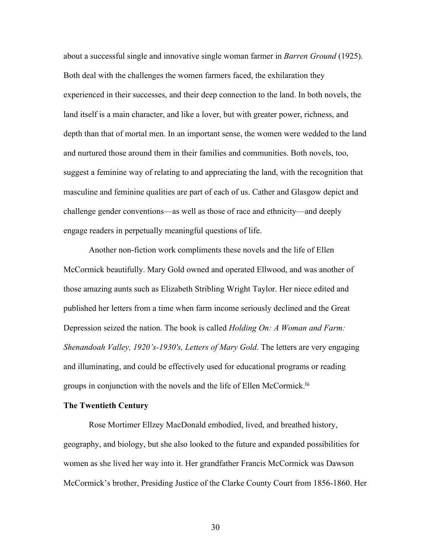about a successful single and innovative single woman farmer in *Barren Ground* (1925). Both deal with the challenges the women farmers faced, the exhilaration they experienced in their successes, and their deep connection to the land. In both novels, the land itself is a main character, and like a lover, but with greater power, richness, and depth than that of mortal men. In an important sense, the women were wedded to the land and nurtured those around them in their families and communities. Both novels, too, suggest a feminine way of relating to and appreciating the land, with the recognition that masculine and feminine qualities are part of each of us. Cather and Glasgow depict and challenge gender conventions—as well as those of race and ethnicity—and deeply engage readers in perpetually meaningful questions of life.

Another non-fiction work compliments these novels and the life of Ellen McCormick beautifully. Mary Gold owned and operated Ellwood, and was another of those amazing aunts such as Elizabeth Stribling Wright Taylor. Her niece edited and published her letters from a time when farm income seriously declined and the Great Depression seized the nation. The book is called *Holding On: A Woman and Farm: Shenandoah Valley, 1920's-1930's, Letters of Mary Gold*. The letters are very engaging and illuminating, and could be effectively used for educational programs or reading groups in conjunction with the novels and the life of Ellen McCormick.lii

# **The Twentieth Century**

Rose Mortimer Ellzey MacDonald embodied, lived, and breathed history, geography, and biology, but she also looked to the future and expanded possibilities for women as she lived her way into it. Her grandfather Francis McCormick was Dawson McCormick's brother, Presiding Justice of the Clarke County Court from 1856-1860. Her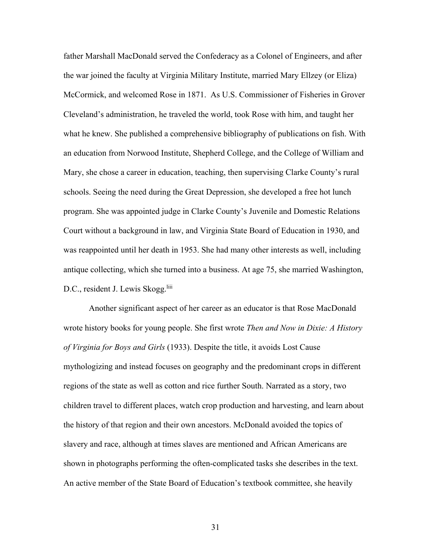father Marshall MacDonald served the Confederacy as a Colonel of Engineers, and after the war joined the faculty at Virginia Military Institute, married Mary Ellzey (or Eliza) McCormick, and welcomed Rose in 1871. As U.S. Commissioner of Fisheries in Grover Cleveland's administration, he traveled the world, took Rose with him, and taught her what he knew. She published a comprehensive bibliography of publications on fish. With an education from Norwood Institute, Shepherd College, and the College of William and Mary, she chose a career in education, teaching, then supervising Clarke County's rural schools. Seeing the need during the Great Depression, she developed a free hot lunch program. She was appointed judge in Clarke County's Juvenile and Domestic Relations Court without a background in law, and Virginia State Board of Education in 1930, and was reappointed until her death in 1953. She had many other interests as well, including antique collecting, which she turned into a business. At age 75, she married Washington, D.C., resident J. Lewis Skogg.<sup>liii</sup>

Another significant aspect of her career as an educator is that Rose MacDonald wrote history books for young people. She first wrote *Then and Now in Dixie: A History of Virginia for Boys and Girls* (1933). Despite the title, it avoids Lost Cause mythologizing and instead focuses on geography and the predominant crops in different regions of the state as well as cotton and rice further South. Narrated as a story, two children travel to different places, watch crop production and harvesting, and learn about the history of that region and their own ancestors. McDonald avoided the topics of slavery and race, although at times slaves are mentioned and African Americans are shown in photographs performing the often-complicated tasks she describes in the text. An active member of the State Board of Education's textbook committee, she heavily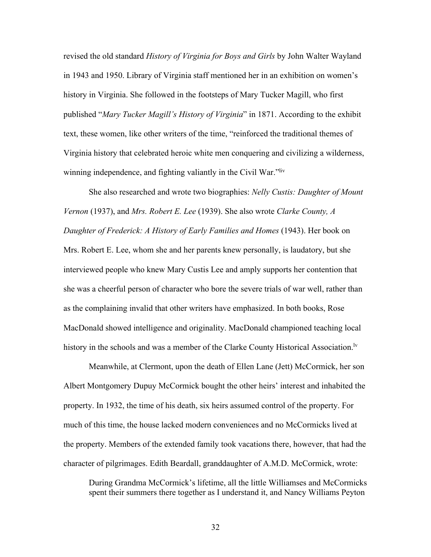revised the old standard *History of Virginia for Boys and Girls* by John Walter Wayland in 1943 and 1950. Library of Virginia staff mentioned her in an exhibition on women's history in Virginia. She followed in the footsteps of Mary Tucker Magill, who first published "*Mary Tucker Magill's History of Virginia*" in 1871. According to the exhibit text, these women, like other writers of the time, "reinforced the traditional themes of Virginia history that celebrated heroic white men conquering and civilizing a wilderness, winning independence, and fighting valiantly in the Civil War."<sup>liv</sup>

She also researched and wrote two biographies: *Nelly Custis: Daughter of Mount Vernon* (1937), and *Mrs. Robert E. Lee* (1939). She also wrote *Clarke County, A Daughter of Frederick: A History of Early Families and Homes* (1943). Her book on Mrs. Robert E. Lee, whom she and her parents knew personally, is laudatory, but she interviewed people who knew Mary Custis Lee and amply supports her contention that she was a cheerful person of character who bore the severe trials of war well, rather than as the complaining invalid that other writers have emphasized. In both books, Rose MacDonald showed intelligence and originality. MacDonald championed teaching local history in the schools and was a member of the Clarke County Historical Association.<sup>Iv</sup>

Meanwhile, at Clermont, upon the death of Ellen Lane (Jett) McCormick, her son Albert Montgomery Dupuy McCormick bought the other heirs' interest and inhabited the property. In 1932, the time of his death, six heirs assumed control of the property. For much of this time, the house lacked modern conveniences and no McCormicks lived at the property. Members of the extended family took vacations there, however, that had the character of pilgrimages. Edith Beardall, granddaughter of A.M.D. McCormick, wrote:

During Grandma McCormick's lifetime, all the little Williamses and McCormicks spent their summers there together as I understand it, and Nancy Williams Peyton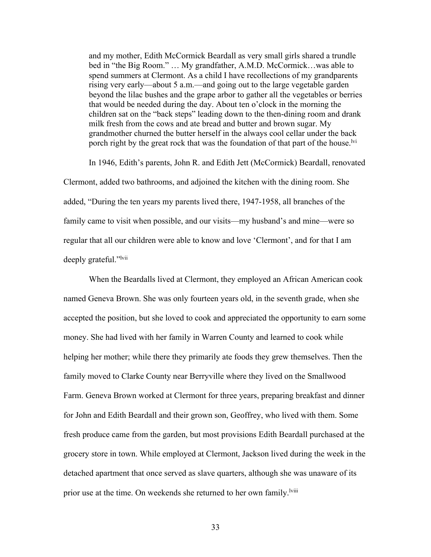and my mother, Edith McCormick Beardall as very small girls shared a trundle bed in "the Big Room." ... My grandfather, A.M.D. McCormick...was able to spend summers at Clermont. As a child I have recollections of my grandparents rising very early—about 5 a.m.—and going out to the large vegetable garden beyond the lilac bushes and the grape arbor to gather all the vegetables or berries that would be needed during the day. About ten o'clock in the morning the children sat on the "back steps" leading down to the then-dining room and drank milk fresh from the cows and ate bread and butter and brown sugar. My grandmother churned the butter herself in the always cool cellar under the back porch right by the great rock that was the foundation of that part of the house.<sup>Ivi</sup>

In 1946, Edith's parents, John R. and Edith Jett (McCormick) Beardall, renovated Clermont, added two bathrooms, and adjoined the kitchen with the dining room. She added, "During the ten years my parents lived there, 1947-1958, all branches of the family came to visit when possible, and our visits—my husband's and mine—were so regular that all our children were able to know and love 'Clermont', and for that I am deeply grateful."<sup>lvii</sup>

When the Beardalls lived at Clermont, they employed an African American cook named Geneva Brown. She was only fourteen years old, in the seventh grade, when she accepted the position, but she loved to cook and appreciated the opportunity to earn some money. She had lived with her family in Warren County and learned to cook while helping her mother; while there they primarily ate foods they grew themselves. Then the family moved to Clarke County near Berryville where they lived on the Smallwood Farm. Geneva Brown worked at Clermont for three years, preparing breakfast and dinner for John and Edith Beardall and their grown son, Geoffrey, who lived with them. Some fresh produce came from the garden, but most provisions Edith Beardall purchased at the grocery store in town. While employed at Clermont, Jackson lived during the week in the detached apartment that once served as slave quarters, although she was unaware of its prior use at the time. On weekends she returned to her own family.<sup>Iviii</sup>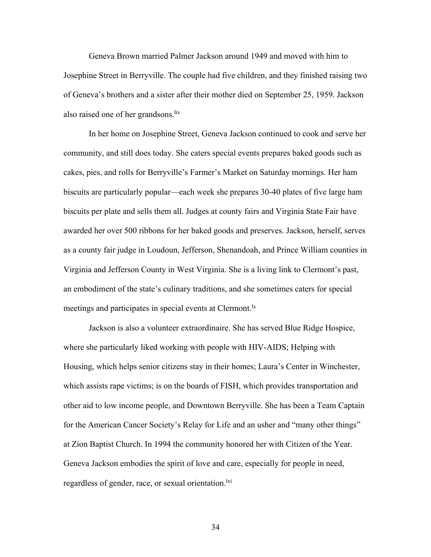Geneva Brown married Palmer Jackson around 1949 and moved with him to Josephine Street in Berryville. The couple had five children, and they finished raising two of Geneva's brothers and a sister after their mother died on September 25, 1959. Jackson also raised one of her grandsons.<sup>lix</sup>

In her home on Josephine Street, Geneva Jackson continued to cook and serve her community, and still does today. She caters special events prepares baked goods such as cakes, pies, and rolls for Berryville's Farmer's Market on Saturday mornings. Her ham biscuits are particularly popular—each week she prepares 30-40 plates of five large ham biscuits per plate and sells them all. Judges at county fairs and Virginia State Fair have awarded her over 500 ribbons for her baked goods and preserves. Jackson, herself, serves as a county fair judge in Loudoun, Jefferson, Shenandoah, and Prince William counties in Virginia and Jefferson County in West Virginia. She is a living link to Clermont's past, an embodiment of the state's culinary traditions, and she sometimes caters for special meetings and participates in special events at Clermont.<sup>1x</sup>

Jackson is also a volunteer extraordinaire. She has served Blue Ridge Hospice, where she particularly liked working with people with HIV-AIDS; Helping with Housing, which helps senior citizens stay in their homes; Laura's Center in Winchester, which assists rape victims; is on the boards of FISH, which provides transportation and other aid to low income people, and Downtown Berryville. She has been a Team Captain for the American Cancer Society's Relay for Life and an usher and "many other things" at Zion Baptist Church. In 1994 the community honored her with Citizen of the Year. Geneva Jackson embodies the spirit of love and care, especially for people in need, regardless of gender, race, or sexual orientation.<sup>1xi</sup>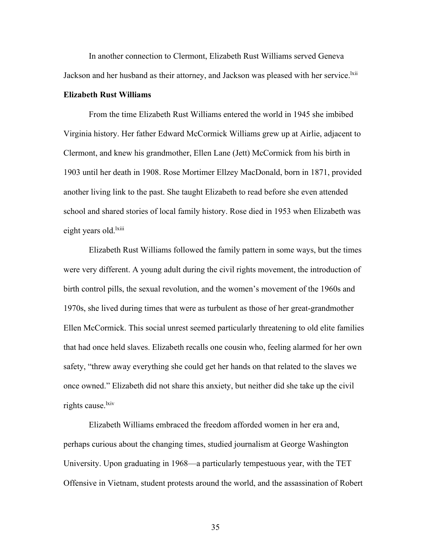In another connection to Clermont, Elizabeth Rust Williams served Geneva Jackson and her husband as their attorney, and Jackson was pleased with her service.<sup>[kii</sup>]

## **Elizabeth Rust Williams**

From the time Elizabeth Rust Williams entered the world in 1945 she imbibed Virginia history. Her father Edward McCormick Williams grew up at Airlie, adjacent to Clermont, and knew his grandmother, Ellen Lane (Jett) McCormick from his birth in 1903 until her death in 1908. Rose Mortimer Ellzey MacDonald, born in 1871, provided another living link to the past. She taught Elizabeth to read before she even attended school and shared stories of local family history. Rose died in 1953 when Elizabeth was eight years old.<sup>lxiii</sup>

Elizabeth Rust Williams followed the family pattern in some ways, but the times were very different. A young adult during the civil rights movement, the introduction of birth control pills, the sexual revolution, and the women's movement of the 1960s and 1970s, she lived during times that were as turbulent as those of her great-grandmother Ellen McCormick. This social unrest seemed particularly threatening to old elite families that had once held slaves. Elizabeth recalls one cousin who, feeling alarmed for her own safety, "threw away everything she could get her hands on that related to the slaves we once owned." Elizabeth did not share this anxiety, but neither did she take up the civil rights cause.<sup>lxiv</sup>

Elizabeth Williams embraced the freedom afforded women in her era and, perhaps curious about the changing times, studied journalism at George Washington University. Upon graduating in 1968—a particularly tempestuous year, with the TET Offensive in Vietnam, student protests around the world, and the assassination of Robert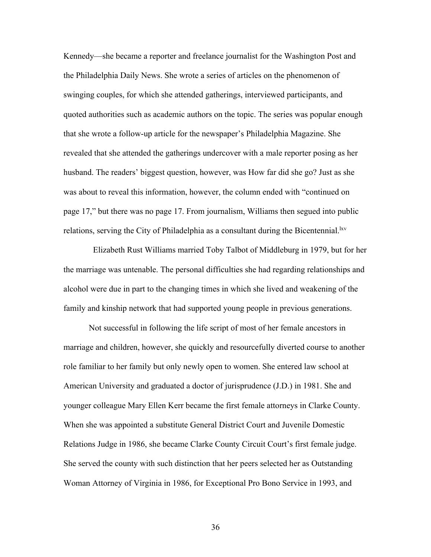Kennedy—she became a reporter and freelance journalist for the Washington Post and the Philadelphia Daily News. She wrote a series of articles on the phenomenon of swinging couples, for which she attended gatherings, interviewed participants, and quoted authorities such as academic authors on the topic. The series was popular enough that she wrote a follow-up article for the newspaper's Philadelphia Magazine. She revealed that she attended the gatherings undercover with a male reporter posing as her husband. The readers' biggest question, however, was How far did she go? Just as she was about to reveal this information, however, the column ended with "continued on page 17," but there was no page 17. From journalism, Williams then segued into public relations, serving the City of Philadelphia as a consultant during the Bicentennial.  $\frac{1}{x}$ 

 Elizabeth Rust Williams married Toby Talbot of Middleburg in 1979, but for her the marriage was untenable. The personal difficulties she had regarding relationships and alcohol were due in part to the changing times in which she lived and weakening of the family and kinship network that had supported young people in previous generations.

Not successful in following the life script of most of her female ancestors in marriage and children, however, she quickly and resourcefully diverted course to another role familiar to her family but only newly open to women. She entered law school at American University and graduated a doctor of jurisprudence (J.D.) in 1981. She and younger colleague Mary Ellen Kerr became the first female attorneys in Clarke County. When she was appointed a substitute General District Court and Juvenile Domestic Relations Judge in 1986, she became Clarke County Circuit Court's first female judge. She served the county with such distinction that her peers selected her as Outstanding Woman Attorney of Virginia in 1986, for Exceptional Pro Bono Service in 1993, and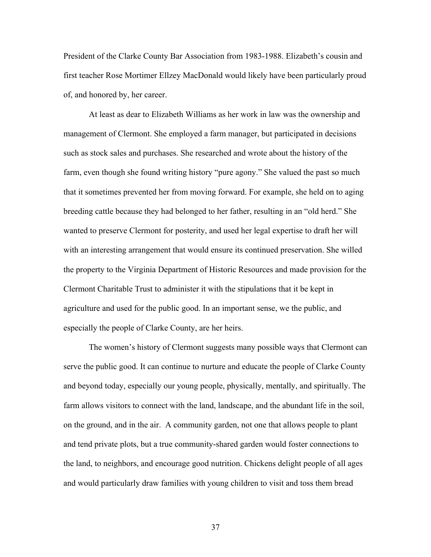President of the Clarke County Bar Association from 1983-1988. Elizabeth's cousin and first teacher Rose Mortimer Ellzey MacDonald would likely have been particularly proud of, and honored by, her career.

At least as dear to Elizabeth Williams as her work in law was the ownership and management of Clermont. She employed a farm manager, but participated in decisions such as stock sales and purchases. She researched and wrote about the history of the farm, even though she found writing history "pure agony." She valued the past so much that it sometimes prevented her from moving forward. For example, she held on to aging breeding cattle because they had belonged to her father, resulting in an "old herd." She wanted to preserve Clermont for posterity, and used her legal expertise to draft her will with an interesting arrangement that would ensure its continued preservation. She willed the property to the Virginia Department of Historic Resources and made provision for the Clermont Charitable Trust to administer it with the stipulations that it be kept in agriculture and used for the public good. In an important sense, we the public, and especially the people of Clarke County, are her heirs.

The women's history of Clermont suggests many possible ways that Clermont can serve the public good. It can continue to nurture and educate the people of Clarke County and beyond today, especially our young people, physically, mentally, and spiritually. The farm allows visitors to connect with the land, landscape, and the abundant life in the soil, on the ground, and in the air. A community garden, not one that allows people to plant and tend private plots, but a true community-shared garden would foster connections to the land, to neighbors, and encourage good nutrition. Chickens delight people of all ages and would particularly draw families with young children to visit and toss them bread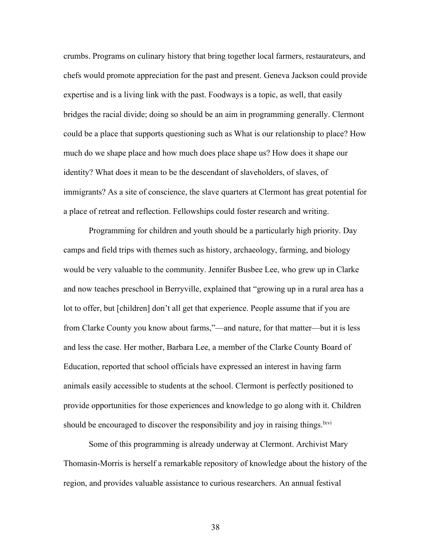crumbs. Programs on culinary history that bring together local farmers, restaurateurs, and chefs would promote appreciation for the past and present. Geneva Jackson could provide expertise and is a living link with the past. Foodways is a topic, as well, that easily bridges the racial divide; doing so should be an aim in programming generally. Clermont could be a place that supports questioning such as What is our relationship to place? How much do we shape place and how much does place shape us? How does it shape our identity? What does it mean to be the descendant of slaveholders, of slaves, of immigrants? As a site of conscience, the slave quarters at Clermont has great potential for a place of retreat and reflection. Fellowships could foster research and writing.

Programming for children and youth should be a particularly high priority. Day camps and field trips with themes such as history, archaeology, farming, and biology would be very valuable to the community. Jennifer Busbee Lee, who grew up in Clarke and now teaches preschool in Berryville, explained that "growing up in a rural area has a lot to offer, but [children] don't all get that experience. People assume that if you are from Clarke County you know about farms,"—and nature, for that matter—but it is less and less the case. Her mother, Barbara Lee, a member of the Clarke County Board of Education, reported that school officials have expressed an interest in having farm animals easily accessible to students at the school. Clermont is perfectly positioned to provide opportunities for those experiences and knowledge to go along with it. Children should be encouraged to discover the responsibility and joy in raising things.<sup>lxvi</sup>

Some of this programming is already underway at Clermont. Archivist Mary Thomasin-Morris is herself a remarkable repository of knowledge about the history of the region, and provides valuable assistance to curious researchers. An annual festival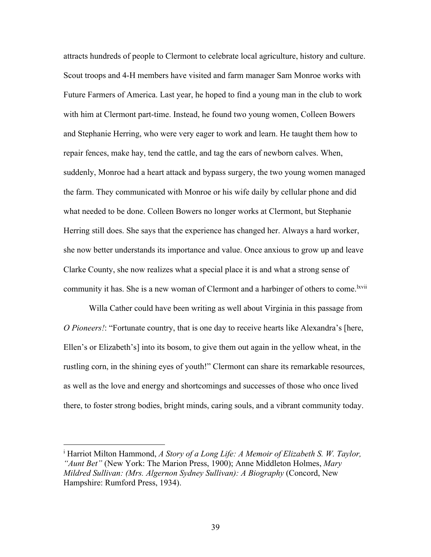attracts hundreds of people to Clermont to celebrate local agriculture, history and culture. Scout troops and 4-H members have visited and farm manager Sam Monroe works with Future Farmers of America. Last year, he hoped to find a young man in the club to work with him at Clermont part-time. Instead, he found two young women, Colleen Bowers and Stephanie Herring, who were very eager to work and learn. He taught them how to repair fences, make hay, tend the cattle, and tag the ears of newborn calves. When, suddenly, Monroe had a heart attack and bypass surgery, the two young women managed the farm. They communicated with Monroe or his wife daily by cellular phone and did what needed to be done. Colleen Bowers no longer works at Clermont, but Stephanie Herring still does. She says that the experience has changed her. Always a hard worker, she now better understands its importance and value. Once anxious to grow up and leave Clarke County, she now realizes what a special place it is and what a strong sense of community it has. She is a new woman of Clermont and a harbinger of others to come.<sup>lxvii</sup>

Willa Cather could have been writing as well about Virginia in this passage from *O Pioneers!*: "Fortunate country, that is one day to receive hearts like Alexandra's [here, Ellen's or Elizabeth's] into its bosom, to give them out again in the yellow wheat, in the rustling corn, in the shining eyes of youth!" Clermont can share its remarkable resources, as well as the love and energy and shortcomings and successes of those who once lived there, to foster strong bodies, bright minds, caring souls, and a vibrant community today.

<sup>i</sup> Harriot Milton Hammond, *A Story of a Long Life: A Memoir of Elizabeth S. W. Taylor, "Aunt Bet"* (New York: The Marion Press, 1900); Anne Middleton Holmes, *Mary Mildred Sullivan: (Mrs. Algernon Sydney Sullivan): A Biography* (Concord, New Hampshire: Rumford Press, 1934).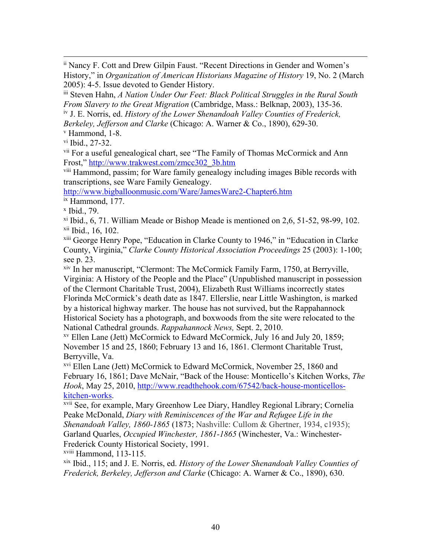ii Nancy F. Cott and Drew Gilpin Faust. "Recent Directions in Gender and Women's History," in *Organization of American Historians Magazine of History* 19, No. 2 (March 2005): 4-5. Issue devoted to Gender History.

iii Steven Hahn, *A Nation Under Our Feet: Black Political Struggles in the Rural South From Slavery to the Great Migration* (Cambridge, Mass.: Belknap, 2003), 135-36. iv J. E. Norris, ed. *History of the Lower Shenandoah Valley Counties of Frederick,* 

*Berkeley, Jefferson and Clarke* (Chicago: A. Warner & Co., 1890), 629-30.

<sup>v</sup> Hammond, 1-8.

 $v$ <sup>i</sup> Ibid., 27-32.

<sup>vii</sup> For a useful genealogical chart, see "The Family of Thomas McCormick and Ann Frost," http://www.trakwest.com/zmcc302\_3b.htm

viii Hammond, passim; for Ware family genealogy including images Bible records with transcriptions, see Ware Family Genealogy.

http://www.bigballoonmusic.com/Ware/JamesWare2-Chapter6.htm

ix Hammond, 177.

<sup>x</sup> Ibid., 79.

 $x$ <sup>i</sup> Ibid., 6, 71. William Meade or Bishop Meade is mentioned on 2,6, 51-52, 98-99, 102.  $xii$  Ibid., 16, 102.

xiii George Henry Pope, "Education in Clarke County to 1946," in "Education in Clarke County, Virginia," *Clarke County Historical Association Proceedings* 25 (2003): 1-100; see p. 23.

xiv In her manuscript, "Clermont: The McCormick Family Farm, 1750, at Berryville, Virginia: A History of the People and the Place" (Unpublished manuscript in possession of the Clermont Charitable Trust, 2004), Elizabeth Rust Williams incorrectly states Florinda McCormick's death date as 1847. Ellerslie, near Little Washington, is marked by a historical highway marker. The house has not survived, but the Rappahannock Historical Society has a photograph, and boxwoods from the site were relocated to the National Cathedral grounds. *Rappahannock News,* Sept. 2, 2010.

xv Ellen Lane (Jett) McCormick to Edward McCormick, July 16 and July 20, 1859; November 15 and 25, 1860; February 13 and 16, 1861. Clermont Charitable Trust, Berryville, Va.

xvi Ellen Lane (Jett) McCormick to Edward McCormick, November 25, 1860 and February 16, 1861; Dave McNair, "Back of the House: Monticello's Kitchen Works, *The Hook*, May 25, 2010, http://www.readthehook.com/67542/back-house-monticelloskitchen-works.

xvii See, for example, Mary Greenhow Lee Diary, Handley Regional Library; Cornelia Peake McDonald, *Diary with Reminiscences of the War and Refugee Life in the Shenandoah Valley, 1860-1865* (1873; Nashville: Cullom & Ghertner, 1934, c1935); Garland Quarles, *Occupied Winchester, 1861-1865* (Winchester, Va.: Winchester-Frederick County Historical Society, 1991.

xviii Hammond, 113-115.

xix Ibid., 115; and J. E. Norris, ed. *History of the Lower Shenandoah Valley Counties of Frederick, Berkeley, Jefferson and Clarke* (Chicago: A. Warner & Co., 1890), 630.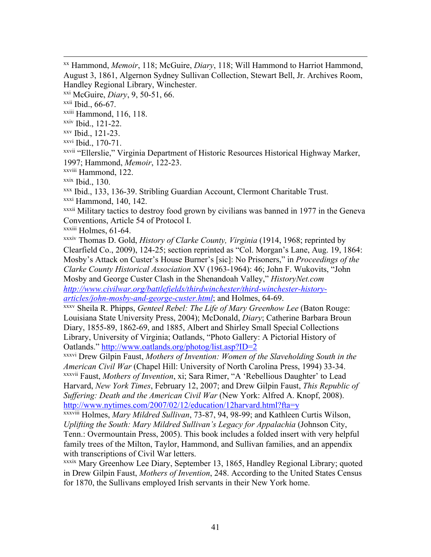xxi McGuire, *Diary*, 9, 50-51, 66.

xxii Ibid., 66-67.

xxiii Hammond, 116, 118.

xxiv Ibid., 121-22.

xxv Ibid., 121-23.

xxvi Ibid., 170-71.

xxvii "Ellerslie," Virginia Department of Historic Resources Historical Highway Marker, 1997; Hammond, *Memoir*, 122-23.

xxviii Hammond, 122.

 $x$ <sup>xxix</sup> Ibid., 130.

xxx Ibid., 133, 136-39. Stribling Guardian Account, Clermont Charitable Trust.

xxxi Hammond, 140, 142.

xxxii Military tactics to destroy food grown by civilians was banned in 1977 in the Geneva Conventions, Article 54 of Protocol I.

xxxiii Holmes, 61-64.

xxxiv Thomas D. Gold, *History of Clarke County, Virginia* (1914, 1968; reprinted by Clearfield Co., 2009), 124-25; section reprinted as "Col. Morgan's Lane, Aug. 19, 1864: Mosby's Attack on Custer's House Burner's [sic]: No Prisoners," in *Proceedings of the Clarke County Historical Association* XV (1963-1964): 46; John F. Wukovits, "John Mosby and George Custer Clash in the Shenandoah Valley," *HistoryNet.com http://www.civilwar.org/battlefields/thirdwinchester/third-winchester-history-*

*articles/john-mosby-and-george-custer.html*; and Holmes, 64-69. xxxv Sheila R. Phipps, *Genteel Rebel: The Life of Mary Greenhow Lee* (Baton Rouge: Louisiana State University Press, 2004); McDonald, *Diary*; Catherine Barbara Broun Diary, 1855-89, 1862-69, and 1885, Albert and Shirley Small Special Collections Library, University of Virginia; Oatlands, "Photo Gallery: A Pictorial History of Oatlands." http://www.oatlands.org/photog/list.asp?ID=2

xxxvi Drew Gilpin Faust, *Mothers of Invention: Women of the Slaveholding South in the American Civil War* (Chapel Hill: University of North Carolina Press, 1994) 33-34.

xxxvii Faust, *Mothers of Invention*, xi; Sara Rimer, "A 'Rebellious Daughter' to Lead Harvard, *New York Times*, February 12, 2007; and Drew Gilpin Faust, *This Republic of Suffering: Death and the American Civil War* (New York: Alfred A. Knopf, 2008). http://www.nytimes.com/2007/02/12/education/12harvard.html?fta=y

xxxviii Holmes, *Mary Mildred Sullivan*, 73-87, 94, 98-99; and Kathleen Curtis Wilson, *Uplifting the South: Mary Mildred Sullivan's Legacy for Appalachia* (Johnson City, Tenn.: Overmountain Press, 2005). This book includes a folded insert with very helpful family trees of the Milton, Taylor, Hammond, and Sullivan families, and an appendix with transcriptions of Civil War letters.

xxxix Mary Greenhow Lee Diary, September 13, 1865, Handley Regional Library; quoted in Drew Gilpin Faust, *Mothers of Invention*, 248. According to the United States Census for 1870, the Sullivans employed Irish servants in their New York home.

xx Hammond, *Memoir*, 118; McGuire, *Diary*, 118; Will Hammond to Harriot Hammond, August 3, 1861, Algernon Sydney Sullivan Collection, Stewart Bell, Jr. Archives Room, Handley Regional Library, Winchester.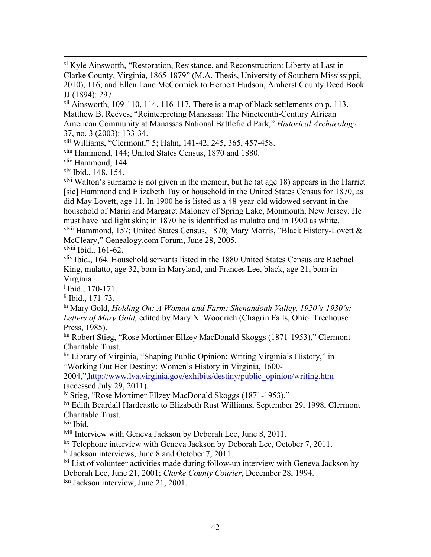xl Kyle Ainsworth, "Restoration, Resistance, and Reconstruction: Liberty at Last in Clarke County, Virginia, 1865-1879" (M.A. Thesis, University of Southern Mississippi, 2010), 116; and Ellen Lane McCormick to Herbert Hudson, Amherst County Deed Book JJ (1894): 297.

 $x<sup>li</sup>$  Ainsworth, 109-110, 114, 116-117. There is a map of black settlements on p. 113. Matthew B. Reeves, "Reinterpreting Manassas: The Nineteenth-Century African American Community at Manassas National Battlefield Park," *Historical Archaeology* 37, no. 3 (2003): 133-34.

xlii Williams, "Clermont," 5; Hahn, 141-42, 245, 365, 457-458.

xliii Hammond, 144; United States Census, 1870 and 1880.

xliv Hammond, 144.

xlv Ibid., 148, 154.

 $x<sup>lvi</sup>$  Walton's surname is not given in the memoir, but he (at age 18) appears in the Harriet [sic] Hammond and Elizabeth Taylor household in the United States Census for 1870, as did May Lovett, age 11. In 1900 he is listed as a 48-year-old widowed servant in the household of Marin and Margaret Maloney of Spring Lake, Monmouth, New Jersey. He must have had light skin; in 1870 he is identified as mulatto and in 1900 as white. xlvii Hammond, 157; United States Census, 1870; Mary Morris, "Black History-Lovett & McCleary," Genealogy.com Forum, June 28, 2005.

 $x$ <sup>1viii</sup> Ibid., 161-62.

xlix Ibid., 164. Household servants listed in the 1880 United States Census are Rachael King, mulatto, age 32, born in Maryland, and Frances Lee, black, age 21, born in Virginia.

 $1$  Ibid., 170-171.

li Ibid., 171-73.

lii Mary Gold, *Holding On: A Woman and Farm: Shenandoah Valley, 1920's-1930's: Letters of Mary Gold,* edited by Mary N. Woodrich (Chagrin Falls, Ohio: Treehouse Press, 1985).

liii Robert Stieg, "Rose Mortimer Ellzey MacDonald Skoggs (1871-1953)," Clermont Charitable Trust.

liv Library of Virginia, "Shaping Public Opinion: Writing Virginia's History," in "Working Out Her Destiny: Women's History in Virginia, 1600-

2004,",http://www.lva.virginia.gov/exhibits/destiny/public\_opinion/writing.htm (accessed July 29, 2011).

 $\frac{1}{10}$  Stieg, "Rose Mortimer Ellzey MacDonald Skoggs (1871-1953)."

<sup>lvi</sup> Edith Beardall Hardcastle to Elizabeth Rust Williams, September 29, 1998, Clermont Charitable Trust.

lvii Ibid.

lviii Interview with Geneva Jackson by Deborah Lee, June 8, 2011.

lix Telephone interview with Geneva Jackson by Deborah Lee, October 7, 2011.

 $\frac{1}{x}$  Jackson interviews, June 8 and October 7, 2011.

 $\frac{1}{x}$  List of volunteer activities made during follow-up interview with Geneva Jackson by Deborah Lee, June 21, 2001; *Clarke County Courier*, December 28, 1994.

<sup>1xii</sup> Jackson interview, June 21, 2001.